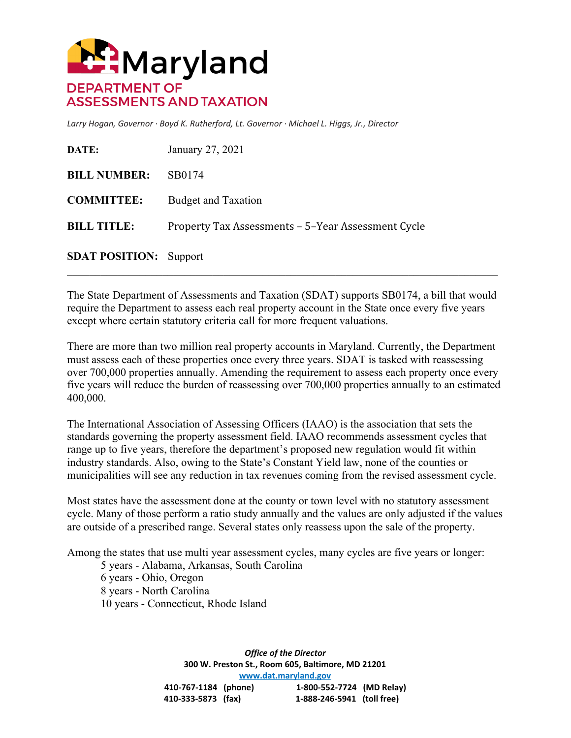

*Larry Hogan, Governor · Boyd K. Rutherford, Lt. Governor · Michael L. Higgs, Jr., Director*

| DATE:                         | January 27, 2021                                   |
|-------------------------------|----------------------------------------------------|
| <b>BILL NUMBER:</b>           | SB0174                                             |
| <b>COMMITTEE:</b>             | <b>Budget and Taxation</b>                         |
| <b>BILL TITLE:</b>            | Property Tax Assessments – 5–Year Assessment Cycle |
| <b>SDAT POSITION:</b> Support |                                                    |

The State Department of Assessments and Taxation (SDAT) supports SB0174, a bill that would require the Department to assess each real property account in the State once every five years except where certain statutory criteria call for more frequent valuations.

 $\mathcal{L}_\mathcal{L} = \{ \mathcal{L}_\mathcal{L} = \{ \mathcal{L}_\mathcal{L} = \{ \mathcal{L}_\mathcal{L} = \{ \mathcal{L}_\mathcal{L} = \{ \mathcal{L}_\mathcal{L} = \{ \mathcal{L}_\mathcal{L} = \{ \mathcal{L}_\mathcal{L} = \{ \mathcal{L}_\mathcal{L} = \{ \mathcal{L}_\mathcal{L} = \{ \mathcal{L}_\mathcal{L} = \{ \mathcal{L}_\mathcal{L} = \{ \mathcal{L}_\mathcal{L} = \{ \mathcal{L}_\mathcal{L} = \{ \mathcal{L}_\mathcal{$ 

There are more than two million real property accounts in Maryland. Currently, the Department must assess each of these properties once every three years. SDAT is tasked with reassessing over 700,000 properties annually. Amending the requirement to assess each property once every five years will reduce the burden of reassessing over 700,000 properties annually to an estimated 400,000.

The International Association of Assessing Officers (IAAO) is the association that sets the standards governing the property assessment field. IAAO recommends assessment cycles that range up to five years, therefore the department's proposed new regulation would fit within industry standards. Also, owing to the State's Constant Yield law, none of the counties or municipalities will see any reduction in tax revenues coming from the revised assessment cycle.

Most states have the assessment done at the county or town level with no statutory assessment cycle. Many of those perform a ratio study annually and the values are only adjusted if the values are outside of a prescribed range. Several states only reassess upon the sale of the property.

Among the states that use multi year assessment cycles, many cycles are five years or longer:

5 years - Alabama, Arkansas, South Carolina

6 years - Ohio, Oregon 8 years - North Carolina

10 years - Connecticut, Rhode Island

*Office of the Director* **300 W. Preston St., Room 605, Baltimore, MD 21201 [www.dat.maryland.gov](http://www.dat.maryland.gov/) 410-767-1184 (phone) 1-800-552-7724 (MD Relay) 410-333-5873 (fax) 1-888-246-5941 (toll free)**